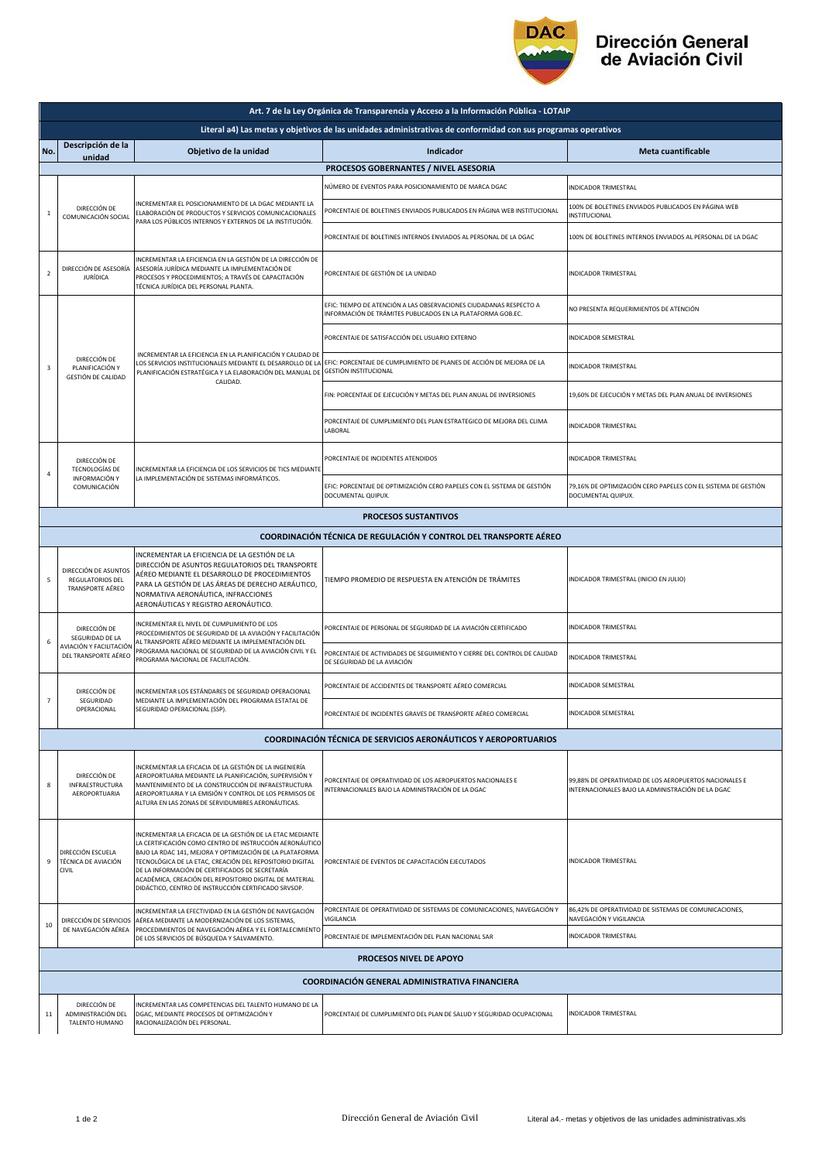

## Dirección General<br>de Aviación Civil

| Art. 7 de la Ley Orgánica de Transparencia y Acceso a la Información Pública - LOTAIP                         |                                                                                    |                                                                                                                                                                                                                                                                                                                                                                                                                    |                                                                                                                                   |                                                                                                             |  |  |  |  |
|---------------------------------------------------------------------------------------------------------------|------------------------------------------------------------------------------------|--------------------------------------------------------------------------------------------------------------------------------------------------------------------------------------------------------------------------------------------------------------------------------------------------------------------------------------------------------------------------------------------------------------------|-----------------------------------------------------------------------------------------------------------------------------------|-------------------------------------------------------------------------------------------------------------|--|--|--|--|
| Literal a4) Las metas y objetivos de las unidades administrativas de conformidad con sus programas operativos |                                                                                    |                                                                                                                                                                                                                                                                                                                                                                                                                    |                                                                                                                                   |                                                                                                             |  |  |  |  |
| No.                                                                                                           | Descripción de la<br>unidad                                                        | Objetivo de la unidad                                                                                                                                                                                                                                                                                                                                                                                              | Indicador                                                                                                                         | Meta cuantificable                                                                                          |  |  |  |  |
|                                                                                                               | PROCESOS GOBERNANTES / NIVEL ASESORIA                                              |                                                                                                                                                                                                                                                                                                                                                                                                                    |                                                                                                                                   |                                                                                                             |  |  |  |  |
|                                                                                                               | DIRECCIÓN DE<br>$\mathbf{1}$<br>COMUNICACIÓN SOCIAL                                | NCREMENTAR EL POSICIONAMIENTO DE LA DGAC MEDIANTE LA<br>ELABORACIÓN DE PRODUCTOS Y SERVICIOS COMUNICACIONALES<br>PARA LOS PÚBLICOS INTERNOS Y EXTERNOS DE LA INSTITUCIÓN.                                                                                                                                                                                                                                          | NÚMERO DE EVENTOS PARA POSICIONAMIENTO DE MARCA DGAC                                                                              | INDICADOR TRIMESTRAL                                                                                        |  |  |  |  |
|                                                                                                               |                                                                                    |                                                                                                                                                                                                                                                                                                                                                                                                                    | PORCENTAJE DE BOLETINES ENVIADOS PUBLICADOS EN PÁGINA WEB INSTITUCIONAL                                                           | 100% DE BOLETINES ENVIADOS PUBLICADOS EN PÁGINA WEB<br>INSTITUCIONAL                                        |  |  |  |  |
|                                                                                                               |                                                                                    |                                                                                                                                                                                                                                                                                                                                                                                                                    | PORCENTAJE DE BOLETINES INTERNOS ENVIADOS AL PERSONAL DE LA DGAC                                                                  | 100% DE BOLETINES INTERNOS ENVIADOS AL PERSONAL DE LA DGAC                                                  |  |  |  |  |
| $\mathbf 2$                                                                                                   | DIRECCIÓN DE ASESORÍA<br><b>JURÍDICA</b>                                           | INCREMENTAR LA EFICIENCIA EN LA GESTIÓN DE LA DIRECCIÓN DE<br>ASESORÍA JURÍDICA MEDIANTE LA IMPLEMENTACIÓN DE<br>PROCESOS Y PROCEDIMIENTOS; A TRAVÉS DE CAPACITACIÓN<br>TÉCNICA JURÍDICA DEL PERSONAL PLANTA.                                                                                                                                                                                                      | PORCENTAJE DE GESTIÓN DE LA UNIDAD                                                                                                | INDICADOR TRIMESTRAL                                                                                        |  |  |  |  |
|                                                                                                               | DIRECCIÓN DE<br>PLANIFICACIÓN Y<br>GESTIÓN DE CALIDAD                              | INCREMENTAR LA EFICIENCIA EN LA PLANIFICACIÓN Y CALIDAD DE<br>LOS SERVICIOS INSTITUCIONALES MEDIANTE EL DESARROLLO DE LA<br>PLANIFICACIÓN ESTRATÉGICA Y LA ELABORACIÓN DEL MANUAL DE<br>CALIDAD.                                                                                                                                                                                                                   | EFIC: TIEMPO DE ATENCIÓN A LAS OBSERVACIONES CIUDADANAS RESPECTO A<br>INFORMACIÓN DE TRÁMITES PUBLICADOS EN LA PLATAFORMA GOB.EC. | NO PRESENTA REQUERIMIENTOS DE ATENCIÓN                                                                      |  |  |  |  |
|                                                                                                               |                                                                                    |                                                                                                                                                                                                                                                                                                                                                                                                                    | PORCENTAJE DE SATISFACCIÓN DEL USUARIO EXTERNO                                                                                    | INDICADOR SEMESTRAL                                                                                         |  |  |  |  |
| 3                                                                                                             |                                                                                    |                                                                                                                                                                                                                                                                                                                                                                                                                    | EFIC: PORCENTAJE DE CUMPLIMIENTO DE PLANES DE ACCIÓN DE MEJORA DE LA<br><b>GESTIÓN INSTITUCIONAL</b>                              | INDICADOR TRIMESTRAL                                                                                        |  |  |  |  |
|                                                                                                               |                                                                                    |                                                                                                                                                                                                                                                                                                                                                                                                                    | FIN: PORCENTAJE DE EJECUCIÓN Y METAS DEL PLAN ANUAL DE INVERSIONES                                                                | 19,60% DE EJECUCIÓN Y METAS DEL PLAN ANUAL DE INVERSIONES                                                   |  |  |  |  |
|                                                                                                               |                                                                                    |                                                                                                                                                                                                                                                                                                                                                                                                                    | PORCENTAJE DE CUMPLIMIENTO DEL PLAN ESTRATEGICO DE MEJORA DEL CLIMA<br>LABORAL                                                    | INDICADOR TRIMESTRAL                                                                                        |  |  |  |  |
| $\overline{4}$                                                                                                | DIRECCIÓN DE<br><b>TECNOLOGÍAS DE</b><br>INFORMACIÓN Y<br>COMUNICACIÓN             | INCREMENTAR LA EFICIENCIA DE LOS SERVICIOS DE TICS MEDIANTE<br>LA IMPLEMENTACIÓN DE SISTEMAS INFORMÁTICOS.                                                                                                                                                                                                                                                                                                         | PORCENTAJE DE INCIDENTES ATENDIDOS                                                                                                | INDICADOR TRIMESTRAL                                                                                        |  |  |  |  |
|                                                                                                               |                                                                                    |                                                                                                                                                                                                                                                                                                                                                                                                                    | EFIC: PORCENTAJE DE OPTIMIZACIÓN CERO PAPELES CON EL SISTEMA DE GESTIÓN<br>DOCUMENTAL QUIPUX.                                     | 79,16% DE OPTIMIZACIÓN CERO PAPELES CON EL SISTEMA DE GESTIÓN<br>DOCUMENTAL QUIPUX.                         |  |  |  |  |
|                                                                                                               |                                                                                    |                                                                                                                                                                                                                                                                                                                                                                                                                    | <b>PROCESOS SUSTANTIVOS</b>                                                                                                       |                                                                                                             |  |  |  |  |
| <b>COORDINACIÓN TÉCNICA DE REGULACIÓN Y CONTROL DEL TRANSPORTE AÉREO</b>                                      |                                                                                    |                                                                                                                                                                                                                                                                                                                                                                                                                    |                                                                                                                                   |                                                                                                             |  |  |  |  |
| 5                                                                                                             | DIRECCIÓN DE ASUNTOS<br>REGULATORIOS DEL<br>TRANSPORTE AÉREO                       | INCREMENTAR LA EFICIENCIA DE LA GESTIÓN DE LA<br>DIRECCIÓN DE ASUNTOS REGULATORIOS DEL TRANSPORTE<br>AÉREO MEDIANTE EL DESARROLLO DE PROCEDIMIENTOS<br>PARA LA GESTIÓN DE LAS ÁREAS DE DERECHO AERÁUTICO,<br>NORMATIVA AERONÁUTICA, INFRACCIONES<br>AERONÁUTICAS Y REGISTRO AERONÁUTICO.                                                                                                                           | TIEMPO PROMEDIO DE RESPUESTA EN ATENCIÓN DE TRÁMITES                                                                              | INDICADOR TRIMESTRAL (INICIO EN JULIO)                                                                      |  |  |  |  |
| 6                                                                                                             | DIRECCIÓN DE<br>SEGURIDAD DE LA<br>AVIACIÓN Y FACILITACIÓN<br>DEL TRANSPORTE AÉREO | INCREMENTAR EL NIVEL DE CUMPLIMIENTO DE LOS<br>PROCEDIMIENTOS DE SEGURIDAD DE LA AVIACIÓN Y FACILITACIÓN<br>AL TRANSPORTE AÉREO MEDIANTE LA IMPLEMENTACIÓN DEL<br>PROGRAMA NACIONAL DE SEGURIDAD DE LA AVIACIÓN CIVIL Y EL<br>PROGRAMA NACIONAL DE FACILITACIÓN.                                                                                                                                                   | PORCENTAJE DE PERSONAL DE SEGURIDAD DE LA AVIACIÓN CERTIFICADO                                                                    | INDICADOR TRIMESTRAL                                                                                        |  |  |  |  |
|                                                                                                               |                                                                                    |                                                                                                                                                                                                                                                                                                                                                                                                                    | PORCENTAJE DE ACTIVIDADES DE SEGUIMIENTO Y CIERRE DEL CONTROL DE CALIDAD<br>DE SEGURIDAD DE LA AVIACIÓN                           | INDICADOR TRIMESTRAL                                                                                        |  |  |  |  |
| $\overline{7}$                                                                                                | DIRECCIÓN DE<br>SEGURIDAD<br>OPERACIONAL                                           | NCREMENTAR LOS ESTÁNDARES DE SEGURIDAD OPERACIONAL<br>MEDIANTE LA IMPLEMENTACIÓN DEL PROGRAMA ESTATAL DE<br>SEGURIDAD OPERACIONAL (SSP).                                                                                                                                                                                                                                                                           | PORCENTAJE DE ACCIDENTES DE TRANSPORTE AÉREO COMERCIAL                                                                            | <b>INDICADOR SEMESTRAL</b>                                                                                  |  |  |  |  |
|                                                                                                               |                                                                                    |                                                                                                                                                                                                                                                                                                                                                                                                                    | PORCENTAJE DE INCIDENTES GRAVES DE TRANSPORTE AÉREO COMERCIAL                                                                     | INDICADOR SEMESTRAL                                                                                         |  |  |  |  |
|                                                                                                               |                                                                                    |                                                                                                                                                                                                                                                                                                                                                                                                                    | <b>COORDINACIÓN TÉCNICA DE SERVICIOS AERONÁUTICOS Y AEROPORTUARIOS</b>                                                            |                                                                                                             |  |  |  |  |
| 8                                                                                                             | DIRECCIÓN DE<br><b>INFRAESTRUCTURA</b><br>AEROPORTUARIA                            | INCREMENTAR LA EFICACIA DE LA GESTIÓN DE LA INGENIERÍA<br>AEROPORTUARIA MEDIANTE LA PLANIFICACIÓN, SUPERVISIÓN Y<br>MANTENIMIENTO DE LA CONSTRUCCIÓN DE INFRAESTRUCTURA<br>AEROPORTUARIA Y LA EMISIÓN Y CONTROL DE LOS PERMISOS DE<br>ALTURA EN LAS ZONAS DE SERVIDUMBRES AERONÁUTICAS.                                                                                                                            | PORCENTAJE DE OPERATIVIDAD DE LOS AEROPUERTOS NACIONALES E<br>INTERNACIONALES BAJO LA ADMINISTRACIÓN DE LA DGAC                   | 99,88% DE OPERATIVIDAD DE LOS AEROPUERTOS NACIONALES E<br>INTERNACIONALES BAJO LA ADMINISTRACIÓN DE LA DGAC |  |  |  |  |
| 9                                                                                                             | DIRECCIÓN ESCUELA<br>TÉCNICA DE AVIACIÓN<br>CIVIL                                  | INCREMENTAR LA EFICACIA DE LA GESTIÓN DE LA ETAC MEDIANTE<br>LA CERTIFICACIÓN COMO CENTRO DE INSTRUCCIÓN AERONÁUTICO<br>BAJO LA RDAC 141, MEJORA Y OPTIMIZACIÓN DE LA PLATAFORMA<br>TECNOLÓGICA DE LA ETAC, CREACIÓN DEL REPOSITORIO DIGITAL<br>DE LA INFORMACIÓN DE CERTIFICADOS DE SECRETARÍA<br>ACADÉMICA, CREACIÓN DEL REPOSITORIO DIGITAL DE MATERIAL<br>DIDÁCTICO, CENTRO DE INSTRUCCIÓN CERTIFICADO SRVSOP. | PORCENTAJE DE EVENTOS DE CAPACITACIÓN EJECUTADOS                                                                                  | INDICADOR TRIMESTRAL                                                                                        |  |  |  |  |
|                                                                                                               | DIRECCIÓN DE SERVICIOS                                                             | INCREMENTAR LA EFECTIVIDAD EN LA GESTIÓN DE NAVEGACIÓN<br>AÉREA MEDIANTE LA MODERNIZACIÓN DE LOS SISTEMAS,                                                                                                                                                                                                                                                                                                         | PORCENTAJE DE OPERATIVIDAD DE SISTEMAS DE COMUNICACIONES, NAVEGACIÓN Y<br>VIGILANCIA                                              | 86,42% DE OPERATIVIDAD DE SISTEMAS DE COMUNICACIONES,<br>NAVEGACIÓN Y VIGILANCIA                            |  |  |  |  |
| 10                                                                                                            | DE NAVEGACIÓN AÉREA                                                                | PROCEDIMIENTOS DE NAVEGACIÓN AÉREA Y EL FORTALECIMIENTO<br>DE LOS SERVICIOS DE BÚSQUEDA Y SALVAMENTO.                                                                                                                                                                                                                                                                                                              | PORCENTAJE DE IMPLEMENTACIÓN DEL PLAN NACIONAL SAR                                                                                | INDICADOR TRIMESTRAL                                                                                        |  |  |  |  |
|                                                                                                               | <b>PROCESOS NIVEL DE APOYO</b>                                                     |                                                                                                                                                                                                                                                                                                                                                                                                                    |                                                                                                                                   |                                                                                                             |  |  |  |  |
| COORDINACIÓN GENERAL ADMINISTRATIVA FINANCIERA                                                                |                                                                                    |                                                                                                                                                                                                                                                                                                                                                                                                                    |                                                                                                                                   |                                                                                                             |  |  |  |  |
| 11                                                                                                            | DIRECCIÓN DE<br>ADMINISTRACIÓN DEL<br>TALENTO HUMANO                               | INCREMENTAR LAS COMPETENCIAS DEL TALENTO HUMANO DE LA<br>DGAC, MEDIANTE PROCESOS DE OPTIMIZACIÓN Y<br>RACIONALIZACIÓN DEL PERSONAL.                                                                                                                                                                                                                                                                                | PORCENTAJE DE CUMPLIMIENTO DEL PLAN DE SALUD Y SEGURIDAD OCUPACIONAL                                                              | INDICADOR TRIMESTRAL                                                                                        |  |  |  |  |